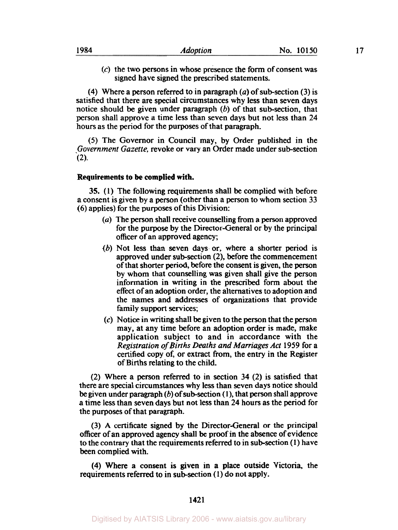$(c)$  the two persons in whose presence the form of consent was signed have signed the prescribed statements.

**(4)** Where a person referred to in paragraph *(a)* of subsection *(3)* is satisfied that there are special circumstances why less than seven days notice should be given under paragraph  $(b)$  of that sub-section, that person shall approve a time less than seven days but not less than **24**  hours as the period for the purposes of that paragraph.

*(5)* The Governor in Council may, by Order published in the *Government Gazette,* revoke or vary an Order made under subsection **(2).** 

# **Requirements to be complied with.**

**35. (1)** The following requirements shall be complied with before a consent is given by a person (other than a person to whom section 33 (6) applies) for the purposes of this Division:

- *(a)* The person shall receive counselling from a person approved for the purpose by the Director-General or by the principal officer of an approved agency;
- (b) Not less than seven days or, where a shorter period is approved under sub-section (2), before the commencement of that shorter period, before the consent is given, the person by whom that counselling was given shall give the person information in writing in the prescribed form about the effect of an adoption order, the alternatives to adoption and the names and addresses of organizations that provide family support services;
- *(c)* Notice in writing shall be given to the person that the person may, at any time before an adoption order is made, make application subject to and in accordance with the *Registration of Births Deaths and Marriages Act* **1959** for a certified copy of, or extract from, the entry in the Register of Births relating to the child.

(2) Where a person referred to in section **34** (2) is satisfied that there are special circumstances why less than seven days notice should be given under paragraph (b) of subsection ( **1** ), that person shall approve a time less than seven days but not less than **24** hours as the period for the purposes of that paragraph.

(3) **A** certificate signed **by** the Director-General or the principal officer of an approved agency shall **be** proof in the absence of evidence to the contrary that the requirements referred to in subsection **(1)** have been complied with.

**(4)** Where a consent is given in a place outside Victoria, the requirements referred to in subsection **(1)** do not apply.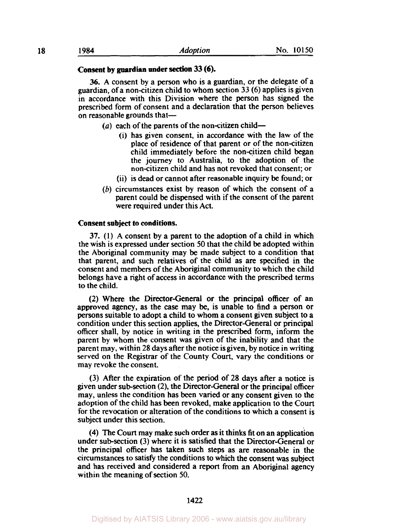# **Consent by guardian under section 33 (6).**

**36.** A consent by a person who is a guardian, or the delegate of a guardian, of a non-citizen child to whom section **33** (6) applies is given in accordance with this Division where the person has signed the prescribed form of consent and **a** declaration that the person believes on reasonable grounds that-

- $(a)$  each of the parents of the non-citizen child-
	- (i) has given consent, in accordance with the law of the place of residence of that parent or of the non-citizen child immediately before the non-citizen child began the journey to Australia, to the adoption of the non-citizen child and has not revoked that consent; or
	- (ii) is dead or cannot after reasonable inquiry be found; or
- $(b)$  circumstances exist by reason of which the consent of a parent could be dispensed with if the consent of the parent were required under this Act.

#### **Consent subject to conditions.**

**37.** (1) A consent by a parent to the adoption of a child in which the wish is expressed under section 50 that the child be adopted within the Aboriginal community may be made subject to a condition that that parent, and such relatives of the child as are specified in the consent and members of the Aboriginal community to which the child belongs have a right of access in accordance with the prescribed terms to the child.

**(2)** Where the Director-General or the principal **officer** of an approved agency, as the case may **be,** is unable to find a person or persons suitable to adopt a child to whom a consent given subject to a condition under this section applies, the Director-General or principal officer shall, by notice in writing in the prescribed form, inform the parent by whom the consent was given of the inability and that the parent may, within 28 days after the notice is given, by notice in writing served on the Registrar of the County Court, vary the conditions or may revoke the consent.

**(3)** After the expiration of the period of **28** days after a notice is given under sub-section **(2),** the Director-General or the principal officer may, unless the condition has been varied or any consent given to the adoption of the child has been revoked, make application to the Court for the revocation or alteration of the conditions to which a consent is subject under this section.

**(4)** The Court may make such order **as** it thinks fit on an application under sub-section **(3)** where it is satisfied that the Director-General or the principal officer has taken such steps as are reasonable in the circumstances to satisfy the conditions to which the consent was subject and has received and considered a report **from** an Aboriginal agency within the meaning of section 50.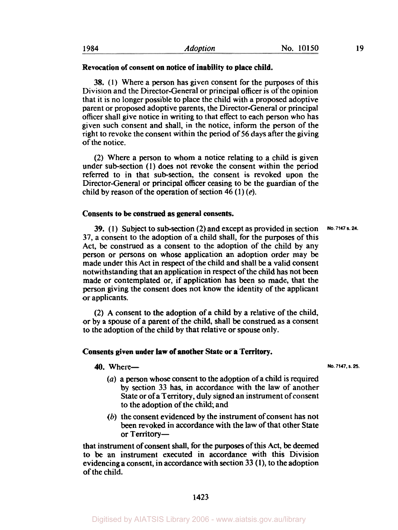# Revocation of consent on notice of inability to place child.

38. (1) Where a person has given consent for the purposes of this Division and the Director-General or principal officer is of the opinion that it is no longer possible to place the child with a proposed adoptive parent or proposed adoptive parents, the Director-General or principal officer shall give notice in writing to that effect to each person who has given such consent and shall, in the notice, inform the person of the right to revoke the consent within the period of 56 days after the giving of the notice.

**(2)** Where a person to whom a notice relating to a child is given under sub-section (1) does not revoke the consent within the period referred to in that sub-section, the consent is revoked upon the Director-General or principal officer ceasing to be the guardian of the child by reason of the operation of section 46 (1)  $(e)$ .

## Consents to **be** construed as general consents.

39. (1) Subject to sub-section (2) and except as provided in section **37,** a consent to the adoption of a child shall, for the purposes of this Act, be construed as a consent to the adoption of the child by any person or persons on whose application an adoption order may be made under this Act in respect of the child and shall be a valid consent notwithstanding that an application in respect of the child has not been made or contemplated or, if application has been so made, that the person giving the consent does not know the identity of the applicant or applicants.

**(2)** A consent to the adoption of a child by a relative of the child, or by a spouse of a parent of the child, shall be construed as a consent to the adoption of the child by that relative or spouse only.

### Consents given under **law** of another State or a Territory.

# **40.** Where-**- No. 7147, s. 25.**

- *(a)* a person whose consent to the adoption of a child is required by section **33** has, in accordance with the law of another State or of a Territory, duly signed an instrument of consent to the adoption of the child; and
- *(b)* the consent evidenced by the instrument of consent has not been revoked in accordance with the law of that other State or Territory-

that instrument of consent shall, for the purposes of this Act, be deemed to be an instrument executed in accordance with this Division evidencing a consent, in accordance with section **33 (1),** to the adoption of the child.

**No. 7147 s. 24.**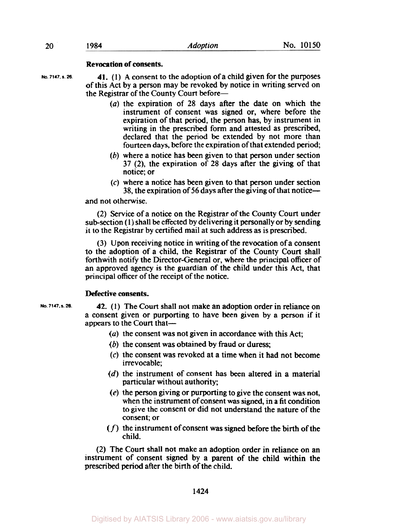# Revocation of consents.

**No. 7147. a.** *26.* 

**41.** (1) A consent to the adoption of a child given for the purposes of this Act by a person may be revoked by notice in writing served on the Registrar of the County Court before-

- *(a)* the expiration of 28 days after the date on which the instrument of consent was signed or, where before the expiration of that period, the person has, by instrument in writing in the prescribed form and attested as prescribed, declared that the period be extended by not more than fourteen days, before the expiration of that extended period;
- $(b)$  where a notice has been given to that person under section 37 (2), the expiration of 28 days after the giving of that notice; or
- **(c)** where a notice has been given to that person under section 38, the expiration of *56* days after the giving of that notice-

# and not otherwise.

(2) Service of a notice on the Registrar of the County Court under sub-section (1) shall be effected by delivering it personally or by sending it to the Registrar by certified mail at such address as is prescribed.

(3) Upon receiving notice in writing of the revocation of a consent to the adoption of a child, the Registrar of the County Court shall forthwith notify the Director-General or, where the principal officer of an approved agency is the guardian of the child under this Act, that principal officer of the receipt of the notice.

# Defective consents.

**No. 7147. S.** *28.* 

**42.** (1) The Court shall not make an adoption order in reliance on a consent given or purporting to have been given by a person if it appears to the Court that—

- *(a)* the consent was not given in accordance with this Act;
- (b) the consent was obtained by fraud or duress:
- **(c)** the consent was revoked at a time when it had not become irrevocable;
- (d) the instrument of consent has been altered in a material particular without authority;
- (e) the person giving or purporting to give the consent was not, when the instrument of consent was signed, in a fit condition to give the consent or did not understand the nature of the consent; or
- *(f)* the instrument of consent was signed before the birth of the child.

(2) The Court shall not make an adoption order in reliance on an instrument of consent signed by a parent of the child within the prescribed period after the birth of the child.

1424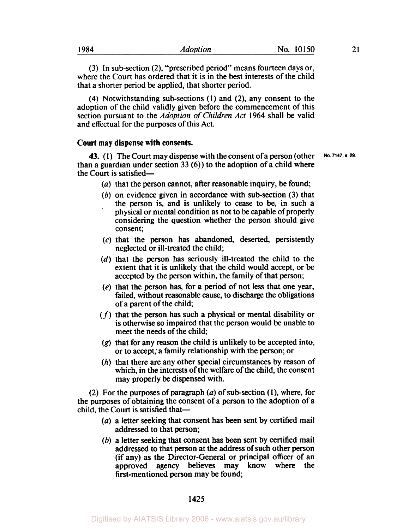(3) In sub-section (2), "prescribed period" means fourteen days or, where the Court has ordered that it is in the best interests of the child that a shorter period be applied, that shorter period.

(4) Notwithstanding subsections (1) and **(2),** any consent to the adoption of the child validly given before the commencement of this section pursuant to the *Adoption* of *Children Act* 1964 shall be valid and effectual for the purposes of this Act.

# **Court may dispense with consents.**

**43.** (1) The Court may dispense with the consent of a person (other No. 7147, s. 29. than a guardian under section 33 (6)) to the adoption of a child where the Court is satisfied-

 $(a)$  that the person cannot, after reasonable inquiry, be found;

- $(b)$  on evidence given in accordance with sub-section  $(3)$  that the person is, and is unlikely to cease to be, in such a physical or mental condition as not to be capable of properly considering the question whether the person should give consent;
- (c) that the person has abandoned, deserted, persistently neglected or ill-treated the child;
- *(d)* that the person has seriously ill-treated the child to the extent that it is unlikely that the child would accept, or be accepted by the person within, the family of that person;
- (e) that the person has, for a period of not less that one year, failed, without reasonable cause, to discharge the obligations of a parent of the child;
- *(f)* that the person has such a physical or mental disability or is otherwise **so** impaired that the person would be unable to meet the needs of the child;
- **(g)** that for any reason the child is unlikely to be accepted into, or to accept,' a family relationship with the person; or
- *(h)* that there are any other special circumstances by reason of which, in the interests of the welfare of the child, the consent may properly be dispensed with.

(2) For the purposes of paragraph  $(a)$  of sub-section (1), where, for the purposes of obtaining the consent of a person to the adoption of a child, the Court is satisfied that-

- (a) a letter seeking that consent has been sent by certified mail addressed to that person;
- (b) a letter seeking that consent has been sent by certified mail addressed to that person at the address of such other person (if any) as the Director-General or principal officer of an approved agency believes may know where the first-mentioned person may be found;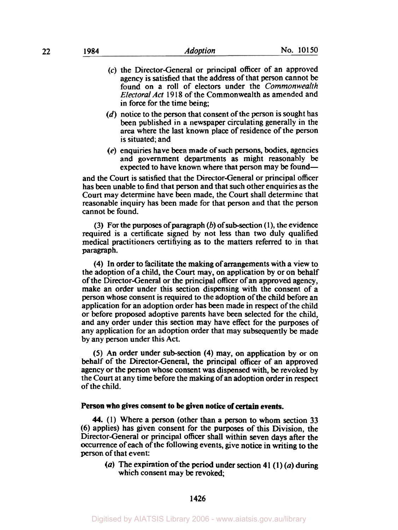- (c) the Director-General or principal officer of an approved agency is satisfied that the address of that person cannot be found on a roll of electors under the *Commonwealth Electoral Act* 19 **18** of the Commonwealth as amended and in force for the time being;
- $(d)$  notice to the person that consent of the person is sought has been published in a newspaper circulating generally in the area where the last known place of residence of the person is situated; and
- $(e)$  enquiries have been made of such persons, bodies, agencies and government departments as might reasonably be expected to have known where that person may be found-

and the Court is satisfied that the Director-General or principal officer has been unable to find that person and that such other enquiries as the Court may determine have been made, the Court shall determine that reasonable inquiry has been made for that person and that the person cannot be found.

(3) For the purposes of paragraph  $(b)$  of sub-section  $(1)$ , the evidence required is a certificate signed by not less than two duly qualified medical practitioners certifiying as to the matters referred to in that paragraph.

(4) In order to facilitate the making of arrangements with a view to the adoption of a child, the Court may, on application by or on behalf of the Director-General or the principal officer of an approved agency, make an order under this section dispensing with the consent of a person whose consent is required to the adoption of the child before an application for an adoption order has been made in respect of the child or before proposed adoptive parents have been selected for the child, and any order under this section may have effect for the purposes of any application for an adoption order that may subsequently be made by any person under this Act.

*(5)* An order under subsection (4) may, on application by or on behalf of the Director-General, the principal officer of an approved agency or the person whose consent was dispensed with, be revoked by the Court at any time before the making of an adoption order in respect of the child.

#### **Person who gives consent to be given notice of certain events.**

**44.** (1) Where a person (other than a person to whom section 33 (6) applies) has given consent for the purposes of this Division, the Director-General or principal officer shall within seven **days** after the Occurrence of each of the following events, give notice in writing to the person of that event:

*(a)* The expiration of the period under section 41 **(1)** *(a)* during which consent may be revoked;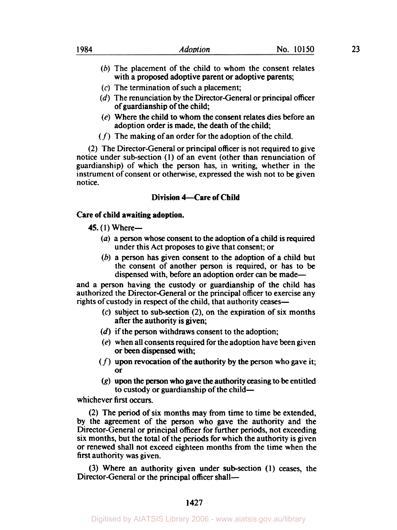- *(b)* The placement of the child to whom the consent relates with a proposed adoptive parent or adoptive parents;
- **(c)** The termination of such a placement;
- (d) The renunciation by the Director-General or principal officer of guardianship of the child;
- (e) Where the child to whom the consent relates dies before an adoption order is made, the death of the child;
- $(f)$  The making of an order for the adoption of the child.

(2) The Director-General or principal officer is not required to give notice under sub-section (1) of an event (other than renunciation of guardianship) of which the person has, in writing, whether in the instrument of consent or otherwise, expressed the wish not to be given notice.

# **Division 4-Care of Child**

# **Care of child awaiting adoption.**

- **45. (1)** Where-
	- *(a)* a person whose consent to the adoption of a child is required under this Act proposes to give that consent; or
	- (b) a person has given consent to the adoption of a child but the consent of another person is required, or has to be dispensed with, before an adoption order can be made-

and a person having the custody or guardianship of the child has authorized the Director-General or the principal officer to exercise any rights of custody in respect of the child, that authority ceases—

- $(c)$  subject to sub-section  $(2)$ , on the expiration of six months after the authority is given;
- $(d)$  if the person withdraws consent to the adoption;
- (e) when all consents required for the adoption have been given or been dispensed with;
- $(f)$  upon revocation of the authority by the person who gave it; or
- (g) upon the person who gave the authority ceasing to be entitled to custody or guardianship of the child-

whichever first occurs.

(2) The period of six months may from time to time be extended, by the agreement of the person who gave the authority and the Director-General or principal officer for further **periods,** not exceeding six months, but the total of the periods for which the authority is given or renewed shall not exceed eighteen months from the time when the first authority was given.

(3) Where an authority given under subsection **(1)** ceases, the Director-General or the principal officer shall-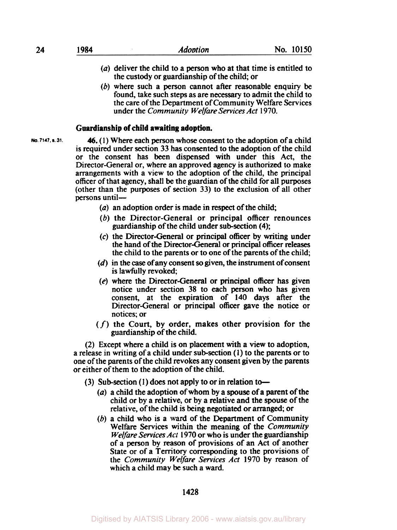- *(a)* deliver the child to a person who at that time is entitled to the custody or guardianship of the child; or
- $(b)$  where such a person cannot after reasonable enquiry be found, take such steps as are necessary to admit the child to the care of the Department of Community Welfare Services under the *Community Welfare Services Act* **1970.**

## **Guardianship of child awaiting adoption.**

**No. 7147. s. 31.** 

*46.* **(1)** Where each person whose consent to the adoption of a child is required under section **33** has consented to the adoption of the child or the consent has been dispensed with under this Act, the Director-General or, where an approved agency is authorized to make arrangements with a view to the adoption of the child, the principal officer of that agency, shall **be** the guardian of the child for all purposes (other than the purposes of section **33)** to the exclusion of all other persons until-

- *(a)* an adoption order is made in respect of the child;
- (b) the Director-General or principal officer renounces guardianship of the child under subsection **(4);**
- *(c)* the Director-General or principal officer by writing under the hand of the Director-General or principal officer releases the child to the parents or to one of the parents of the child;
- *(d)* in the *case* of any consent *so* given, the instrument of consent is lawfully revoked,
- *(e)* where the Director-General or principal officer has given notice under section **38** to each person who has given consent, at the expiration of **140** days after the Director-General or principal officer gave the notice or notices; or
- *(f)* the Court, by order, makes other provision for the guardianship of the child.

(2) Except where a child is on placement with a view to adoption, a release in writing of a child under subsection **(1)** to the parents or to one of the parents of the child revokes any consent given by the parents or either of them to the adoption of the child.

- **(3)** Sub-section **(1)** does not apply to or in relation to-
	- *(a)* a child the adoption of whom by a spouse of **a** parent of the child or by a relative, or by a relative and the spouse of the relative, of the child is being negotiated or arranged; or
	- *(b)* a child who is a ward of the Department of Community Welfare Services within the meaning of the *Community Welfare Services Act* **1970** or who is under the guardianship of a person by reason of provisions of an Act of another State or of a Territory corresponding to the provisions of the *Community Welfare Services Act* **1970** by reason of which a child may be such a ward.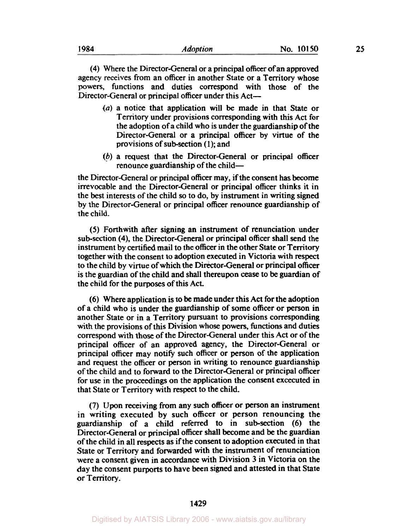**(4)** Where the Director-General or a principal officer of an approved agency receives from an officer in another State or a Territory whose powers, functions and duties correspond with those of the Director-General or principal officer under this Act-

- *(a)* a notice that application will be made in that State or Territory under provisions corresponding with this Act for the adoption of a child who is under the guardianship of the Director-General or a principal officer by virtue of the provisions of subsection **(1);** and
- *(p)* a request that the Director-General or principal officer renounce guardianship of the child-

the Director-General or principal officer may, if the consent has become irrevocable and the Director-General or principal officer thinks it in the best interests of the child **so** to do, by instrument in writing signed by the Director-General or principal officer renounce guardianship of the child.

*(5)* Forthwith after signing an instrument of renunciation under subsection **(4),** the Director-General or principal officer shall send the instrument by certified mail to the officer in the other State or Territory together with the consent to adoption executed in Victoria with respect to the child by virtue of which the Director-General or principal officer is the guardian of the child and shall thereupon *cease* to be guardian of the child for the purposes of this Act.

*(6)* Where application is to be made under this Act for the adoption of a child who is under the guardianship of some officer or person in another State or in a Territory pursuant to provisions corresponding with the provisions of this Division whose powers, functions and duties correspond with those of the Director-General under this Act or of the principal officer of an approved agency, the Director-General or principal officer may notify such officer or person of the application and request the officer or person in writing to renounce guardianship of the child and to forward to the Director-General or principal officer for use in the proceedings on the application the consent excecuted in that State or Territory with respect to the child.

**(7)** Upon receiving from any such officer or person an instrument in writing executed by such officer or person renouncing the guardianship of a child referred to in subsection (6) the Director-General or principal officer shall become and be the guardian of the child in all respects as if the consent to adoption executed in that State or Territory and forwarded with the instrument of renunciation were a consent given in accordance with Division 3 in Victoria on the day the consent purports to have been signed and attested in that State or Territory.